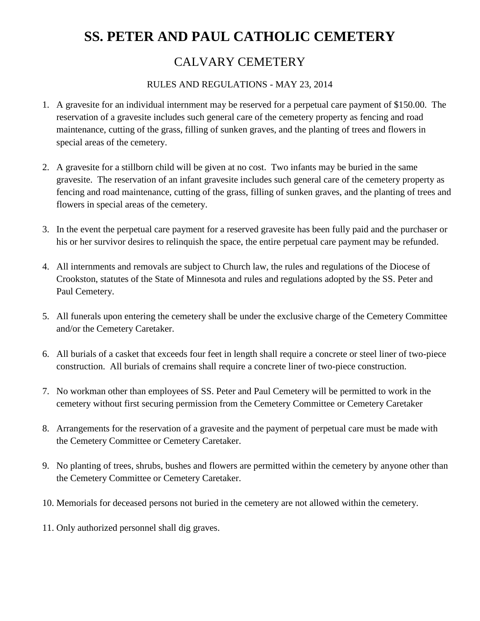## **SS. PETER AND PAUL CATHOLIC CEMETERY**

## CALVARY CEMETERY

## RULES AND REGULATIONS - MAY 23, 2014

- 1. A gravesite for an individual internment may be reserved for a perpetual care payment of \$150.00. The reservation of a gravesite includes such general care of the cemetery property as fencing and road maintenance, cutting of the grass, filling of sunken graves, and the planting of trees and flowers in special areas of the cemetery.
- 2. A gravesite for a stillborn child will be given at no cost. Two infants may be buried in the same gravesite. The reservation of an infant gravesite includes such general care of the cemetery property as fencing and road maintenance, cutting of the grass, filling of sunken graves, and the planting of trees and flowers in special areas of the cemetery.
- 3. In the event the perpetual care payment for a reserved gravesite has been fully paid and the purchaser or his or her survivor desires to relinquish the space, the entire perpetual care payment may be refunded.
- 4. All internments and removals are subject to Church law, the rules and regulations of the Diocese of Crookston, statutes of the State of Minnesota and rules and regulations adopted by the SS. Peter and Paul Cemetery.
- 5. All funerals upon entering the cemetery shall be under the exclusive charge of the Cemetery Committee and/or the Cemetery Caretaker.
- 6. All burials of a casket that exceeds four feet in length shall require a concrete or steel liner of two-piece construction. All burials of cremains shall require a concrete liner of two-piece construction.
- 7. No workman other than employees of SS. Peter and Paul Cemetery will be permitted to work in the cemetery without first securing permission from the Cemetery Committee or Cemetery Caretaker
- 8. Arrangements for the reservation of a gravesite and the payment of perpetual care must be made with the Cemetery Committee or Cemetery Caretaker.
- 9. No planting of trees, shrubs, bushes and flowers are permitted within the cemetery by anyone other than the Cemetery Committee or Cemetery Caretaker.
- 10. Memorials for deceased persons not buried in the cemetery are not allowed within the cemetery.
- 11. Only authorized personnel shall dig graves.